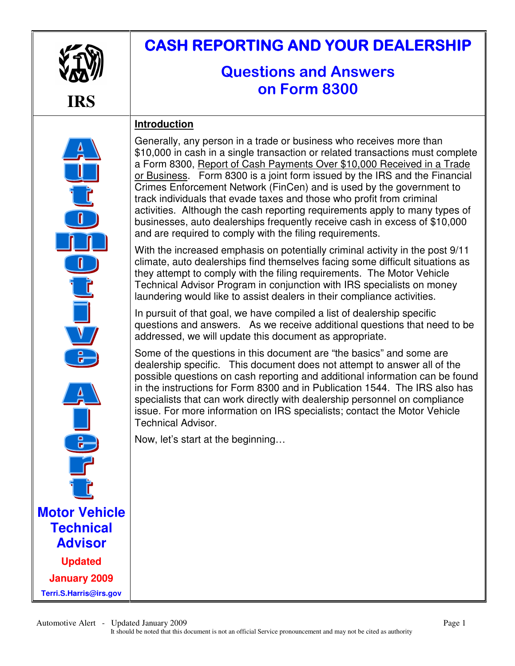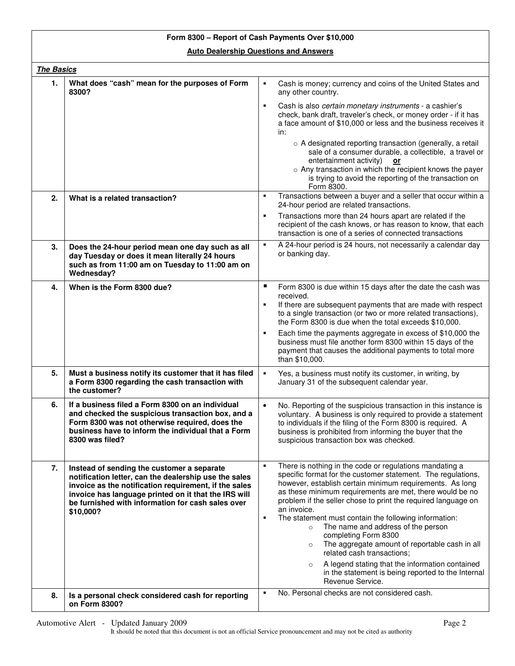## **Form 8300 – Report of Cash Payments Over \$10,000 Auto Dealership Questions and Answers**

|    | The Basics                                                                                                                                                                                                                                                                             |                                                                                                                                                                                                                                                                                                                                                                                                                                                                                                                                                                                                                                                                                                                |  |  |
|----|----------------------------------------------------------------------------------------------------------------------------------------------------------------------------------------------------------------------------------------------------------------------------------------|----------------------------------------------------------------------------------------------------------------------------------------------------------------------------------------------------------------------------------------------------------------------------------------------------------------------------------------------------------------------------------------------------------------------------------------------------------------------------------------------------------------------------------------------------------------------------------------------------------------------------------------------------------------------------------------------------------------|--|--|
| 1. | What does "cash" mean for the purposes of Form<br>8300?                                                                                                                                                                                                                                | ٠<br>Cash is money; currency and coins of the United States and<br>any other country.                                                                                                                                                                                                                                                                                                                                                                                                                                                                                                                                                                                                                          |  |  |
|    |                                                                                                                                                                                                                                                                                        | Cash is also certain monetary instruments - a cashier's<br>٠<br>check, bank draft, traveler's check, or money order - if it has<br>a face amount of \$10,000 or less and the business receives it<br>in:<br>o A designated reporting transaction (generally, a retail<br>sale of a consumer durable, a collectible, a travel or<br>entertainment activity)<br>or<br>o Any transaction in which the recipient knows the payer<br>is trying to avoid the reporting of the transaction on<br>Form 8300.                                                                                                                                                                                                           |  |  |
| 2. | What is a related transaction?                                                                                                                                                                                                                                                         | Transactions between a buyer and a seller that occur within a<br>٠<br>24-hour period are related transactions.                                                                                                                                                                                                                                                                                                                                                                                                                                                                                                                                                                                                 |  |  |
|    |                                                                                                                                                                                                                                                                                        | Transactions more than 24 hours apart are related if the<br>٠<br>recipient of the cash knows, or has reason to know, that each<br>transaction is one of a series of connected transactions                                                                                                                                                                                                                                                                                                                                                                                                                                                                                                                     |  |  |
| 3. | Does the 24-hour period mean one day such as all<br>day Tuesday or does it mean literally 24 hours<br>such as from 11:00 am on Tuesday to 11:00 am on<br>Wednesday?                                                                                                                    | A 24-hour period is 24 hours, not necessarily a calendar day<br>٠<br>or banking day.                                                                                                                                                                                                                                                                                                                                                                                                                                                                                                                                                                                                                           |  |  |
| 4. | When is the Form 8300 due?                                                                                                                                                                                                                                                             | ٠<br>Form 8300 is due within 15 days after the date the cash was<br>received.<br>If there are subsequent payments that are made with respect<br>٠<br>to a single transaction (or two or more related transactions),<br>the Form 8300 is due when the total exceeds \$10,000.<br>Each time the payments aggregate in excess of \$10,000 the<br>٠<br>business must file another form 8300 within 15 days of the<br>payment that causes the additional payments to total more<br>than \$10,000.                                                                                                                                                                                                                   |  |  |
| 5. | Must a business notify its customer that it has filed<br>a Form 8300 regarding the cash transaction with<br>the customer?                                                                                                                                                              | Yes, a business must notify its customer, in writing, by<br>٠<br>January 31 of the subsequent calendar year.                                                                                                                                                                                                                                                                                                                                                                                                                                                                                                                                                                                                   |  |  |
| 6. | If a business filed a Form 8300 on an individual<br>and checked the suspicious transaction box, and a<br>Form 8300 was not otherwise required, does the<br>business have to inform the individual that a Form<br>8300 was filed?                                                       | No. Reporting of the suspicious transaction in this instance is<br>$\bullet$<br>voluntary. A business is only required to provide a statement<br>to individuals if the filing of the Form 8300 is required. A<br>business is prohibited from informing the buyer that the<br>suspicious transaction box was checked.                                                                                                                                                                                                                                                                                                                                                                                           |  |  |
| 7. | Instead of sending the customer a separate<br>notification letter, can the dealership use the sales<br>invoice as the notification requirement, if the sales<br>invoice has language printed on it that the IRS will<br>be furnished with information for cash sales over<br>\$10,000? | There is nothing in the code or regulations mandating a<br>٠<br>specific format for the customer statement. The regulations,<br>however, establish certain minimum requirements. As long<br>as these minimum requirements are met, there would be no<br>problem if the seller chose to print the required language on<br>an invoice.<br>The statement must contain the following information:<br>٠<br>The name and address of the person<br>$\circ$<br>completing Form 8300<br>The aggregate amount of reportable cash in all<br>$\circ$<br>related cash transactions;<br>A legend stating that the information contained<br>$\circ$<br>in the statement is being reported to the Internal<br>Revenue Service. |  |  |
| 8. | Is a personal check considered cash for reporting<br>on Form 8300?                                                                                                                                                                                                                     | No. Personal checks are not considered cash.<br>٠                                                                                                                                                                                                                                                                                                                                                                                                                                                                                                                                                                                                                                                              |  |  |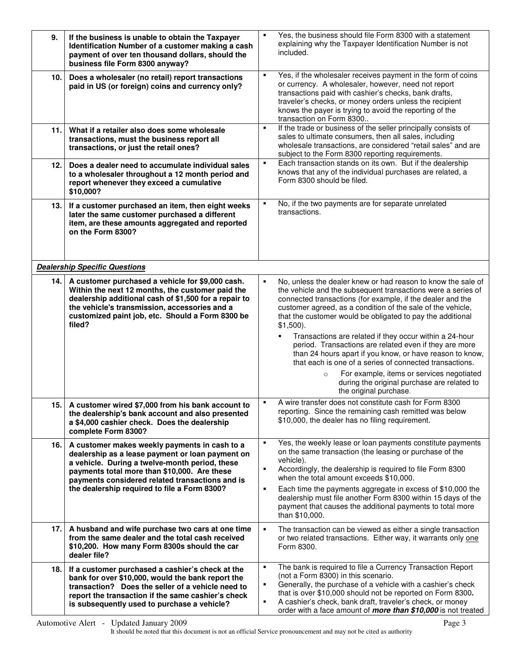| 9.   | If the business is unable to obtain the Taxpayer<br>Identification Number of a customer making a cash<br>payment of over ten thousand dollars, should the<br>business file Form 8300 anyway?                                                                                                           | $\blacksquare$ | Yes, the business should file Form 8300 with a statement<br>explaining why the Taxpayer Identification Number is not<br>included.                                                                                                                                                                                                                                                                                                                                                                                                         |
|------|--------------------------------------------------------------------------------------------------------------------------------------------------------------------------------------------------------------------------------------------------------------------------------------------------------|----------------|-------------------------------------------------------------------------------------------------------------------------------------------------------------------------------------------------------------------------------------------------------------------------------------------------------------------------------------------------------------------------------------------------------------------------------------------------------------------------------------------------------------------------------------------|
| 10.  | Does a wholesaler (no retail) report transactions<br>paid in US (or foreign) coins and currency only?                                                                                                                                                                                                  | ٠              | Yes, if the wholesaler receives payment in the form of coins<br>or currency. A wholesaler, however, need not report<br>transactions paid with cashier's checks, bank drafts,<br>traveler's checks, or money orders unless the recipient<br>knows the payer is trying to avoid the reporting of the<br>transaction on Form 8300                                                                                                                                                                                                            |
| 11.  | What if a retailer also does some wholesale<br>transactions, must the business report all<br>transactions, or just the retail ones?                                                                                                                                                                    | $\blacksquare$ | If the trade or business of the seller principally consists of<br>sales to ultimate consumers, then all sales, including<br>wholesale transactions, are considered "retail sales" and are<br>subject to the Form 8300 reporting requirements.                                                                                                                                                                                                                                                                                             |
| 12.  | Does a dealer need to accumulate individual sales<br>to a wholesaler throughout a 12 month period and<br>report whenever they exceed a cumulative<br>\$10,000?                                                                                                                                         | ٠              | Each transaction stands on its own. But if the dealership<br>knows that any of the individual purchases are related, a<br>Form 8300 should be filed.                                                                                                                                                                                                                                                                                                                                                                                      |
| 13.  | If a customer purchased an item, then eight weeks<br>later the same customer purchased a different<br>item, are these amounts aggregated and reported<br>on the Form 8300?                                                                                                                             | ٠              | No, if the two payments are for separate unrelated<br>transactions.                                                                                                                                                                                                                                                                                                                                                                                                                                                                       |
|      | <b>Dealership Specific Questions</b>                                                                                                                                                                                                                                                                   |                |                                                                                                                                                                                                                                                                                                                                                                                                                                                                                                                                           |
| 14.1 | A customer purchased a vehicle for \$9,000 cash.<br>Within the next 12 months, the customer paid the<br>dealership additional cash of \$1,500 for a repair to<br>the vehicle's transmission, accessories and a<br>customized paint job, etc. Should a Form 8300 be<br>filed?                           | ٠              | No, unless the dealer knew or had reason to know the sale of<br>the vehicle and the subsequent transactions were a series of<br>connected transactions (for example, if the dealer and the<br>customer agreed, as a condition of the sale of the vehicle,<br>that the customer would be obligated to pay the additional<br>$$1,500$ ).<br>Transactions are related if they occur within a 24-hour<br>$\blacksquare$<br>period. Transactions are related even if they are more<br>than 24 hours apart if you know, or have reason to know, |
|      |                                                                                                                                                                                                                                                                                                        |                | that each is one of a series of connected transactions.<br>For example, items or services negotiated<br>$\circ$<br>during the original purchase are related to<br>the original purchase.                                                                                                                                                                                                                                                                                                                                                  |
| 15.  | A customer wired \$7,000 from his bank account to<br>the dealership's bank account and also presented<br>a \$4,000 cashier check. Does the dealership<br>complete Form 8300?                                                                                                                           |                | A wire transfer does not constitute cash for Form 8300<br>reporting. Since the remaining cash remitted was below<br>\$10,000, the dealer has no filing requirement.                                                                                                                                                                                                                                                                                                                                                                       |
| 16.  | A customer makes weekly payments in cash to a<br>dealership as a lease payment or loan payment on<br>a vehicle. During a twelve-month period, these<br>payments total more than \$10,000. Are these<br>payments considered related transactions and is<br>the dealership required to file a Form 8300? | ٠<br>٠<br>٠    | Yes, the weekly lease or loan payments constitute payments<br>on the same transaction (the leasing or purchase of the<br>vehicle).<br>Accordingly, the dealership is required to file Form 8300<br>when the total amount exceeds \$10,000.<br>Each time the payments aggregate in excess of \$10,000 the<br>dealership must file another Form 8300 within 15 days of the<br>payment that causes the additional payments to total more<br>than \$10,000.                                                                                   |
| 17.  | A husband and wife purchase two cars at one time<br>from the same dealer and the total cash received<br>\$10,200. How many Form 8300s should the car<br>dealer file?                                                                                                                                   | ٠              | The transaction can be viewed as either a single transaction<br>or two related transactions. Either way, it warrants only one<br>Form 8300.                                                                                                                                                                                                                                                                                                                                                                                               |
| 18.  | If a customer purchased a cashier's check at the<br>bank for over \$10,000, would the bank report the<br>transaction? Does the seller of a vehicle need to<br>report the transaction if the same cashier's check<br>is subsequently used to purchase a vehicle?                                        | ٠<br>٠<br>٠    | The bank is required to file a Currency Transaction Report<br>(not a Form 8300) in this scenario.<br>Generally, the purchase of a vehicle with a cashier's check<br>that is over \$10,000 should not be reported on Form 8300.<br>A cashier's check, bank draft, traveler's check, or money<br>order with a face amount of <i>more than \$10,000</i> is not treated                                                                                                                                                                       |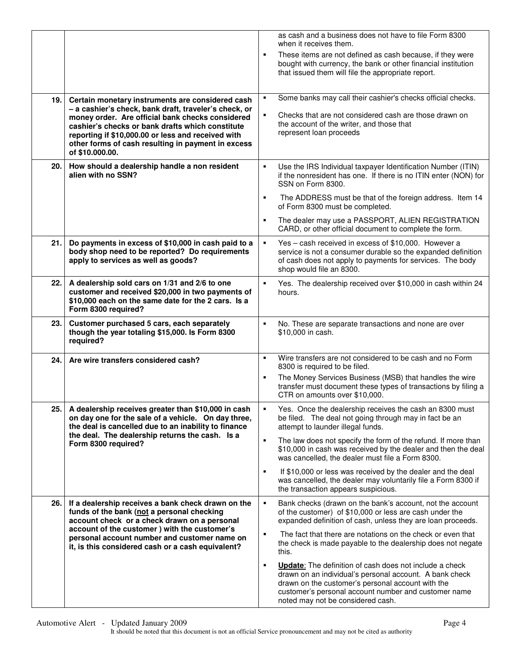|      |                                                                                                                                                                                                                                                                                                        |                | as cash and a business does not have to file Form 8300<br>when it receives them.                                                                                                                                                                                            |
|------|--------------------------------------------------------------------------------------------------------------------------------------------------------------------------------------------------------------------------------------------------------------------------------------------------------|----------------|-----------------------------------------------------------------------------------------------------------------------------------------------------------------------------------------------------------------------------------------------------------------------------|
|      |                                                                                                                                                                                                                                                                                                        | ٠              | These items are not defined as cash because, if they were<br>bought with currency, the bank or other financial institution<br>that issued them will file the appropriate report.                                                                                            |
| 19.  | Certain monetary instruments are considered cash                                                                                                                                                                                                                                                       | ٠              | Some banks may call their cashier's checks official checks.                                                                                                                                                                                                                 |
|      | - a cashier's check, bank draft, traveler's check, or<br>money order. Are official bank checks considered<br>cashier's checks or bank drafts which constitute<br>reporting if \$10,000.00 or less and received with<br>other forms of cash resulting in payment in excess<br>of \$10,000,00.           | $\blacksquare$ | Checks that are not considered cash are those drawn on<br>the account of the writer, and those that<br>represent loan proceeds                                                                                                                                              |
| 20.  | How should a dealership handle a non resident<br>alien with no SSN?                                                                                                                                                                                                                                    | ٠              | Use the IRS Individual taxpayer Identification Number (ITIN)<br>if the nonresident has one. If there is no ITIN enter (NON) for<br>SSN on Form 8300.                                                                                                                        |
|      |                                                                                                                                                                                                                                                                                                        | ٠              | The ADDRESS must be that of the foreign address. Item 14<br>of Form 8300 must be completed.                                                                                                                                                                                 |
|      |                                                                                                                                                                                                                                                                                                        | $\blacksquare$ | The dealer may use a PASSPORT, ALIEN REGISTRATION<br>CARD, or other official document to complete the form.                                                                                                                                                                 |
| 21.1 | Do payments in excess of \$10,000 in cash paid to a<br>body shop need to be reported? Do requirements<br>apply to services as well as goods?                                                                                                                                                           | $\blacksquare$ | Yes - cash received in excess of \$10,000. However a<br>service is not a consumer durable so the expanded definition<br>of cash does not apply to payments for services. The body<br>shop would file an 8300.                                                               |
| 22.  | A dealership sold cars on 1/31 and 2/6 to one<br>customer and received \$20,000 in two payments of<br>\$10,000 each on the same date for the 2 cars. Is a<br>Form 8300 required?                                                                                                                       | ٠              | Yes. The dealership received over \$10,000 in cash within 24<br>hours.                                                                                                                                                                                                      |
| 23.  | Customer purchased 5 cars, each separately<br>though the year totaling \$15,000. Is Form 8300<br>required?                                                                                                                                                                                             | ٠              | No. These are separate transactions and none are over<br>\$10,000 in cash.                                                                                                                                                                                                  |
| 24.  | Are wire transfers considered cash?                                                                                                                                                                                                                                                                    | $\blacksquare$ | Wire transfers are not considered to be cash and no Form<br>8300 is required to be filed.                                                                                                                                                                                   |
|      |                                                                                                                                                                                                                                                                                                        | ٠              | The Money Services Business (MSB) that handles the wire<br>transfer must document these types of transactions by filing a<br>CTR on amounts over \$10,000.                                                                                                                  |
| 25.  | A dealership receives greater than \$10,000 in cash<br>on day one for the sale of a vehicle. On day three,<br>the deal is cancelled due to an inability to finance<br>the deal. The dealership returns the cash. Is a<br>Form 8300 required?                                                           |                | Yes. Once the dealership receives the cash an 8300 must<br>be filed. The deal not going through may in fact be an<br>attempt to launder illegal funds.                                                                                                                      |
|      |                                                                                                                                                                                                                                                                                                        | ٠              | The law does not specify the form of the refund. If more than<br>\$10,000 in cash was received by the dealer and then the deal<br>was cancelled, the dealer must file a Form 8300.                                                                                          |
|      |                                                                                                                                                                                                                                                                                                        | ٠              | If \$10,000 or less was received by the dealer and the deal<br>was cancelled, the dealer may voluntarily file a Form 8300 if<br>the transaction appears suspicious.                                                                                                         |
| 26.  | If a dealership receives a bank check drawn on the<br>funds of the bank (not a personal checking<br>account check or a check drawn on a personal<br>account of the customer ) with the customer's<br>personal account number and customer name on<br>it, is this considered cash or a cash equivalent? | $\blacksquare$ | Bank checks (drawn on the bank's account, not the account<br>of the customer) of \$10,000 or less are cash under the<br>expanded definition of cash, unless they are loan proceeds.                                                                                         |
|      |                                                                                                                                                                                                                                                                                                        | ٠              | The fact that there are notations on the check or even that<br>the check is made payable to the dealership does not negate<br>this.                                                                                                                                         |
|      |                                                                                                                                                                                                                                                                                                        | ٠              | <b>Update:</b> The definition of cash does not include a check<br>drawn on an individual's personal account. A bank check<br>drawn on the customer's personal account with the<br>customer's personal account number and customer name<br>noted may not be considered cash. |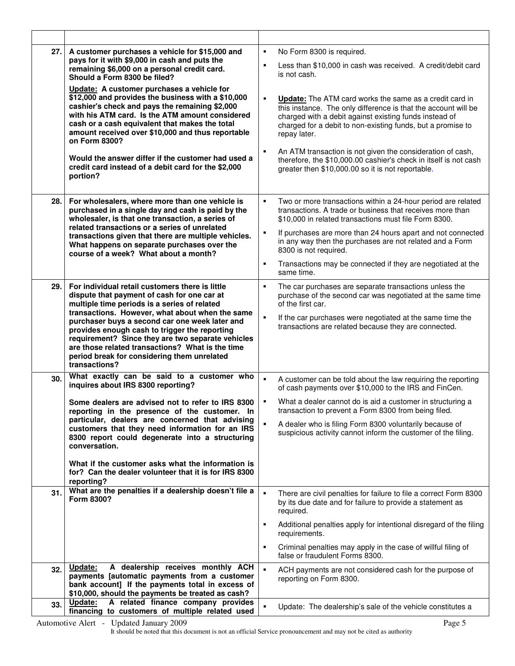| 27.        | A customer purchases a vehicle for \$15,000 and<br>pays for it with \$9,000 in cash and puts the<br>remaining \$6,000 on a personal credit card.<br>Should a Form 8300 be filed?<br>Update: A customer purchases a vehicle for<br>\$12,000 and provides the business with a \$10,000<br>cashier's check and pays the remaining \$2,000<br>with his ATM card. Is the ATM amount considered<br>cash or a cash equivalent that makes the total<br>amount received over \$10,000 and thus reportable<br>on Form 8300?<br>Would the answer differ if the customer had used a<br>credit card instead of a debit card for the \$2,000<br>portion? | is not cash.<br>repay later. | No Form 8300 is required.<br>Less than \$10,000 in cash was received. A credit/debit card<br><b>Update:</b> The ATM card works the same as a credit card in<br>this instance. The only difference is that the account will be<br>charged with a debit against existing funds instead of<br>charged for a debit to non-existing funds, but a promise to<br>An ATM transaction is not given the consideration of cash,<br>therefore, the \$10,000.00 cashier's check in itself is not cash<br>greater then \$10,000.00 so it is not reportable. |
|------------|--------------------------------------------------------------------------------------------------------------------------------------------------------------------------------------------------------------------------------------------------------------------------------------------------------------------------------------------------------------------------------------------------------------------------------------------------------------------------------------------------------------------------------------------------------------------------------------------------------------------------------------------|------------------------------|-----------------------------------------------------------------------------------------------------------------------------------------------------------------------------------------------------------------------------------------------------------------------------------------------------------------------------------------------------------------------------------------------------------------------------------------------------------------------------------------------------------------------------------------------|
| 28.        | For wholesalers, where more than one vehicle is<br>purchased in a single day and cash is paid by the<br>wholesaler, is that one transaction, a series of<br>related transactions or a series of unrelated<br>transactions given that there are multiple vehicles.<br>What happens on separate purchases over the<br>course of a week? What about a month?                                                                                                                                                                                                                                                                                  | same time.                   | Two or more transactions within a 24-hour period are related<br>transactions. A trade or business that receives more than<br>\$10,000 in related transactions must file Form 8300.<br>If purchases are more than 24 hours apart and not connected<br>in any way then the purchases are not related and a Form<br>8300 is not required.<br>Transactions may be connected if they are negotiated at the                                                                                                                                         |
| 29.        | For individual retail customers there is little<br>dispute that payment of cash for one car at<br>multiple time periods is a series of related<br>transactions. However, what about when the same<br>purchaser buys a second car one week later and<br>provides enough cash to trigger the reporting<br>requirement? Since they are two separate vehicles<br>are those related transactions? What is the time<br>period break for considering them unrelated<br>transactions?                                                                                                                                                              | of the first car.            | The car purchases are separate transactions unless the<br>purchase of the second car was negotiated at the same time<br>If the car purchases were negotiated at the same time the<br>transactions are related because they are connected.                                                                                                                                                                                                                                                                                                     |
| 30.        | What exactly can be said to a customer who<br>inquires about IRS 8300 reporting?<br>Some dealers are advised not to refer to IRS 8300<br>reporting in the presence of the customer. In<br>particular, dealers are concerned that advising<br>customers that they need information for an IRS<br>8300 report could degenerate into a structuring<br>conversation.<br>What if the customer asks what the information is<br>for? Can the dealer volunteer that it is for IRS 8300<br>reporting?                                                                                                                                               |                              | A customer can be told about the law requiring the reporting<br>of cash payments over \$10,000 to the IRS and FinCen.<br>What a dealer cannot do is aid a customer in structuring a<br>transaction to prevent a Form 8300 from being filed.<br>A dealer who is filing Form 8300 voluntarily because of<br>suspicious activity cannot inform the customer of the filing.                                                                                                                                                                       |
| 31.        | What are the penalties if a dealership doesn't file a<br>Form 8300?                                                                                                                                                                                                                                                                                                                                                                                                                                                                                                                                                                        | required.<br>requirements.   | There are civil penalties for failure to file a correct Form 8300<br>by its due date and for failure to provide a statement as<br>Additional penalties apply for intentional disregard of the filing<br>Criminal penalties may apply in the case of willful filing of<br>false or fraudulent Forms 8300.                                                                                                                                                                                                                                      |
| 32.<br>33. | A dealership receives monthly ACH<br>Update:<br>payments [automatic payments from a customer<br>bank account] If the payments total in excess of<br>\$10,000, should the payments be treated as cash?<br>A related finance company provides<br>Update:                                                                                                                                                                                                                                                                                                                                                                                     |                              | ACH payments are not considered cash for the purpose of<br>reporting on Form 8300.                                                                                                                                                                                                                                                                                                                                                                                                                                                            |
|            | financing to customers of multiple related used                                                                                                                                                                                                                                                                                                                                                                                                                                                                                                                                                                                            |                              | Update: The dealership's sale of the vehicle constitutes a                                                                                                                                                                                                                                                                                                                                                                                                                                                                                    |

 $\overline{\phantom{a}}$